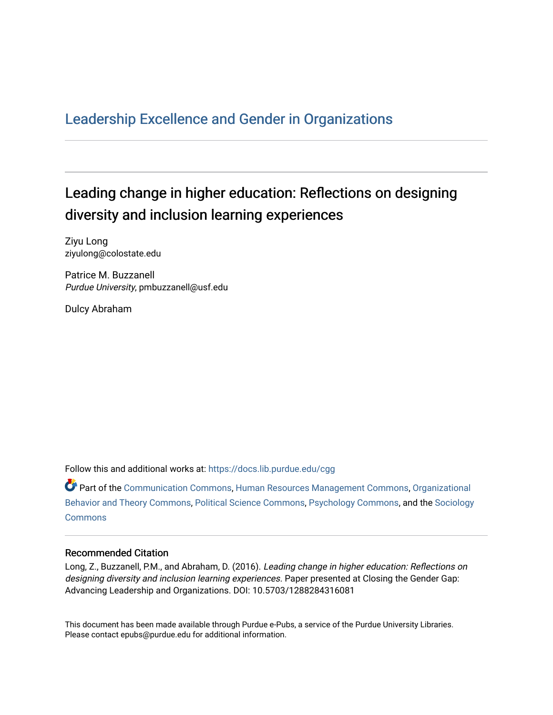## [Leadership Excellence and Gender in Organizations](https://docs.lib.purdue.edu/cgg)

## Leading change in higher education: Reflections on designing diversity and inclusion learning experiences

Ziyu Long ziyulong@colostate.edu

Patrice M. Buzzanell Purdue University, pmbuzzanell@usf.edu

Dulcy Abraham

Follow this and additional works at: [https://docs.lib.purdue.edu/cgg](https://docs.lib.purdue.edu/cgg?utm_source=docs.lib.purdue.edu%2Fcgg%2Fvol1%2Fiss4%2F3&utm_medium=PDF&utm_campaign=PDFCoverPages)

Part of the [Communication Commons,](http://network.bepress.com/hgg/discipline/325?utm_source=docs.lib.purdue.edu%2Fcgg%2Fvol1%2Fiss4%2F3&utm_medium=PDF&utm_campaign=PDFCoverPages) [Human Resources Management Commons,](http://network.bepress.com/hgg/discipline/633?utm_source=docs.lib.purdue.edu%2Fcgg%2Fvol1%2Fiss4%2F3&utm_medium=PDF&utm_campaign=PDFCoverPages) [Organizational](http://network.bepress.com/hgg/discipline/639?utm_source=docs.lib.purdue.edu%2Fcgg%2Fvol1%2Fiss4%2F3&utm_medium=PDF&utm_campaign=PDFCoverPages) [Behavior and Theory Commons,](http://network.bepress.com/hgg/discipline/639?utm_source=docs.lib.purdue.edu%2Fcgg%2Fvol1%2Fiss4%2F3&utm_medium=PDF&utm_campaign=PDFCoverPages) [Political Science Commons,](http://network.bepress.com/hgg/discipline/386?utm_source=docs.lib.purdue.edu%2Fcgg%2Fvol1%2Fiss4%2F3&utm_medium=PDF&utm_campaign=PDFCoverPages) [Psychology Commons,](http://network.bepress.com/hgg/discipline/404?utm_source=docs.lib.purdue.edu%2Fcgg%2Fvol1%2Fiss4%2F3&utm_medium=PDF&utm_campaign=PDFCoverPages) and the [Sociology](http://network.bepress.com/hgg/discipline/416?utm_source=docs.lib.purdue.edu%2Fcgg%2Fvol1%2Fiss4%2F3&utm_medium=PDF&utm_campaign=PDFCoverPages) **[Commons](http://network.bepress.com/hgg/discipline/416?utm_source=docs.lib.purdue.edu%2Fcgg%2Fvol1%2Fiss4%2F3&utm_medium=PDF&utm_campaign=PDFCoverPages)** 

## Recommended Citation

Long, Z., Buzzanell, P.M., and Abraham, D. (2016). Leading change in higher education: Reflections on designing diversity and inclusion learning experiences. Paper presented at Closing the Gender Gap: Advancing Leadership and Organizations. DOI: 10.5703/1288284316081

This document has been made available through Purdue e-Pubs, a service of the Purdue University Libraries. Please contact epubs@purdue.edu for additional information.